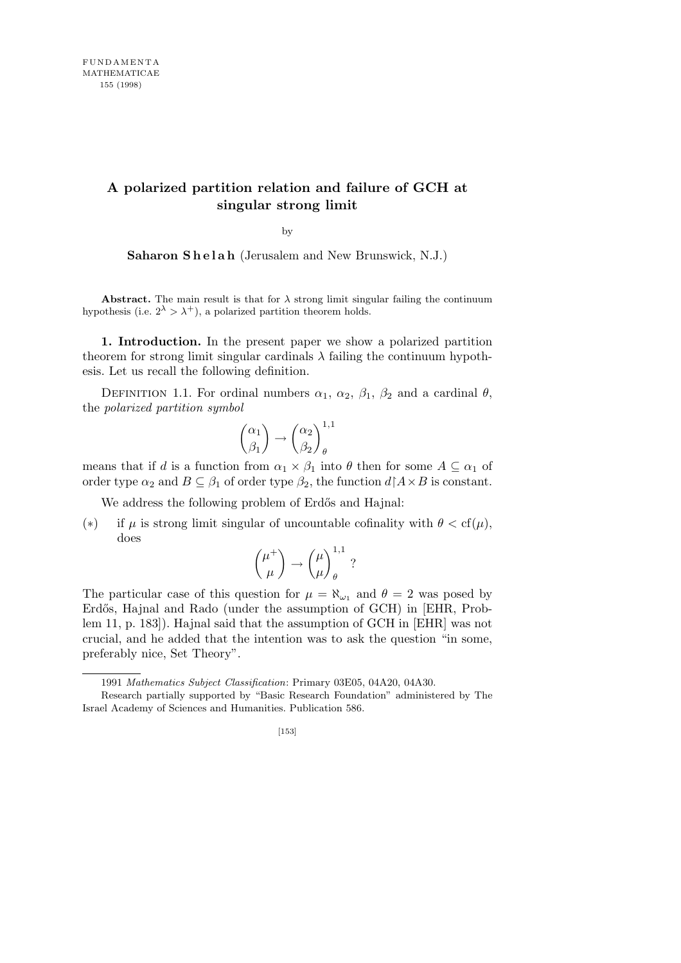## **A polarized partition relation and failure of GCH at singular strong limit**

by

Saharon Shelah (Jerusalem and New Brunswick, N.J.)

**Abstract.** The main result is that for  $\lambda$  strong limit singular failing the continuum hypothesis (i.e.  $2^{\lambda} > \lambda^{+}$ ), a polarized partition theorem holds.

**1. Introduction.** In the present paper we show a polarized partition theorem for strong limit singular cardinals  $\lambda$  failing the continuum hypothesis. Let us recall the following definition.

DEFINITION 1.1. For ordinal numbers  $\alpha_1$ ,  $\alpha_2$ ,  $\beta_1$ ,  $\beta_2$  and a cardinal  $\theta$ , the *polarized partition symbol*

$$
\binom{\alpha_1}{\beta_1}\rightarrow\binom{\alpha_2}{\beta_2}_\theta^{1,1}
$$

means that if *d* is a function from  $\alpha_1 \times \beta_1$  into  $\theta$  then for some  $A \subseteq \alpha_1$  of order type  $\alpha_2$  and  $B \subseteq \beta_1$  of order type  $\beta_2$ , the function  $d \upharpoonright A \times B$  is constant.

We address the following problem of Erdős and Hajnal:

(\*) if  $\mu$  is strong limit singular of uncountable cofinality with  $\theta < \text{cf}(\mu)$ , does

$$
\binom{\mu^+}{\mu}\rightarrow\binom{\mu}{\mu}^{1,1}_\theta\ ?
$$

The particular case of this question for  $\mu = \aleph_{\omega_1}$  and  $\theta = 2$  was posed by Erdős, Hajnal and Rado (under the assumption of GCH) in [EHR, Problem 11, p. 183]). Hajnal said that the assumption of GCH in [EHR] was not crucial, and he added that the intention was to ask the question "in some, preferably nice, Set Theory".

<sup>1991</sup> *Mathematics Subject Classification*: Primary 03E05, 04A20, 04A30.

Research partially supported by "Basic Research Foundation" administered by The Israel Academy of Sciences and Humanities. Publication 586.

<sup>[153]</sup>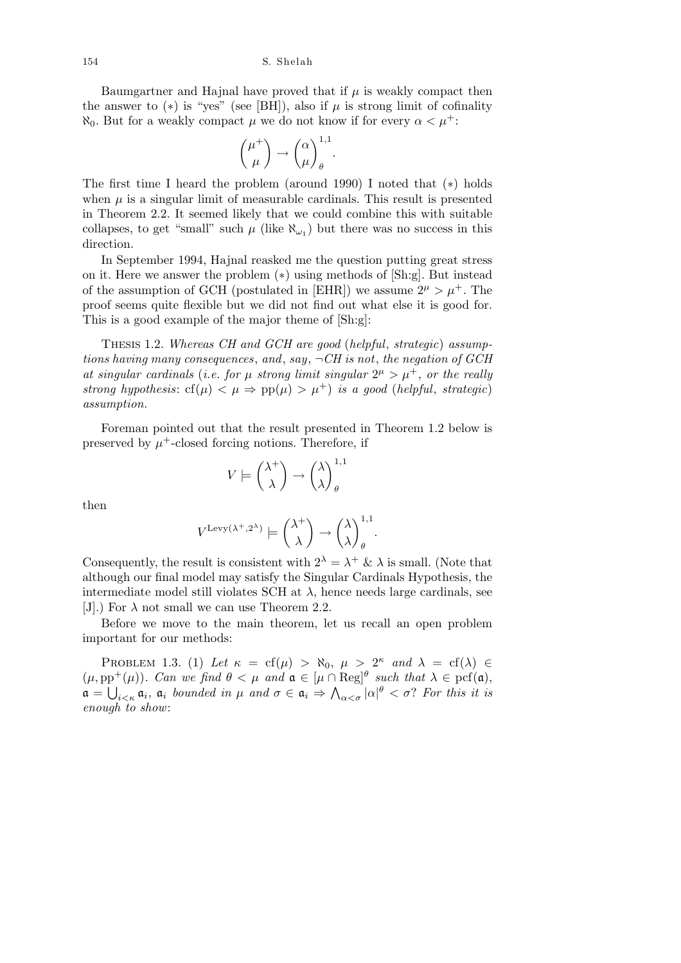Baumgartner and Hajnal have proved that if  $\mu$  is weakly compact then the answer to  $(*)$  is "yes" (see [BH]), also if  $\mu$  is strong limit of cofinality *N*<sub>0</sub>. But for a weakly compact *μ* we do not know if for every  $\alpha < \mu^+$ :

$$
\binom{\mu^+}{\mu}\rightarrow\binom{\alpha}{\mu}_\theta^{1,1}.
$$

The first time I heard the problem (around 1990) I noted that (*∗*) holds when  $\mu$  is a singular limit of measurable cardinals. This result is presented in Theorem 2.2. It seemed likely that we could combine this with suitable collapses, to get "small" such  $\mu$  (like  $\aleph_{\omega_1}$ ) but there was no success in this direction.

In September 1994, Hajnal reasked me the question putting great stress on it. Here we answer the problem (*∗*) using methods of [Sh:g]. But instead of the assumption of GCH (postulated in [EHR]) we assume  $2^{\mu} > \mu^{+}$ . The proof seems quite flexible but we did not find out what else it is good for. This is a good example of the major theme of [Sh:g]:

Thesis 1.2. *Whereas CH and GCH are good* (*helpful*, *strategic*) *assumptions having many consequences*, *and*, *say*, *¬CH is not*, *the negation of GCH* at singular cardinals (*i.e.* for  $\mu$  strong limit singular  $2^{\mu} > \mu^{+}$ , or the really *strong hypothesis*:  $cf(\mu) < \mu \Rightarrow pp(\mu) > \mu^+$  *is a good (helpful, strategic) assumption.*

Foreman pointed out that the result presented in Theorem 1.2 below is preserved by  $\mu^+$ -closed forcing notions. Therefore, if

$$
V \models {\lambda^+ \choose \lambda} \rightarrow {\lambda \choose \lambda}_\theta^{1,1}
$$

then

$$
V^{\mathrm{Levy}(\lambda^+,2^\lambda)}\models \binom{\lambda^+}{\lambda}\rightarrow \binom{\lambda}{\lambda}_\theta^{1,1}.
$$

Consequently, the result is consistent with  $2^{\lambda} = \lambda^+ \& \lambda$  is small. (Note that although our final model may satisfy the Singular Cardinals Hypothesis, the intermediate model still violates SCH at  $\lambda$ , hence needs large cardinals, see [J].) For  $\lambda$  not small we can use Theorem 2.2.

Before we move to the main theorem, let us recall an open problem important for our methods:

PROBLEM 1.3. (1) Let  $\kappa = cf(\mu) > \aleph_0$ ,  $\mu > 2^{\kappa}$  and  $\lambda = cf(\lambda) \in$  $(\mu, \text{pp}^+(\mu))$ *. Can we find*  $\theta < \mu$  *and*  $\mathfrak{a} \in [\mu \cap \text{Reg}]^{\theta}$  *such that*  $\lambda \in \text{pcf}(\mathfrak{a})$ ,  $a =$  $\frac{b}{b}$  $i < \kappa$  **a**<sub>*i*</sub> **a**<sub>*i*</sub> *bounded in*  $\mu$  *and*  $\sigma \in \mathfrak{a}_i \Rightarrow$  $\frac{1}{4}$  $\alpha < \sigma$  |  $\alpha$ |
<sup> $\theta$ </sup> <  $\sigma$ ? *For this it is enough to show*: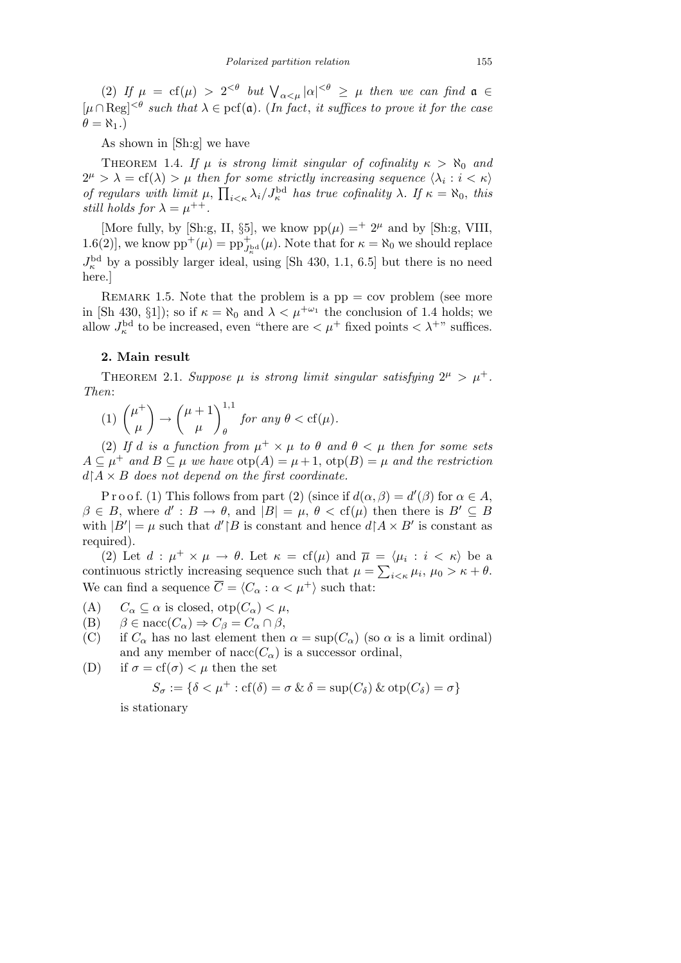(2) *If*  $\mu = cf(\mu) > 2^{<\theta}$  *but*  $\bigvee_{\alpha<\mu} |\alpha|^{<\theta} \geq \mu$  *then we can find*  $\mathfrak{a} \in$  $[\mu ∩ \text{Reg}]^{\leq \theta}$  *such that*  $\lambda \in \text{pcf}(\mathfrak{a})$ *.* (*In fact, it suffices to prove it for the case*  $\theta = \aleph_1$ .)

As shown in [Sh:g] we have

THEOREM 1.4. *If*  $\mu$  *is strong limit singular of cofinality*  $\kappa > \aleph_0$  *and*  $2^{\mu} > \lambda = \text{cf}(\lambda) > \mu$  then for some strictly increasing sequence  $\langle \lambda_i : i < \kappa \rangle$ *of regulars with limit*  $\mu$ ,  $\prod_{i<\kappa} \lambda_i / J_{\kappa}^{\text{bd}}$  *has true cofinality*  $\lambda$ *. If*  $\kappa = \aleph_0$ *, this still holds for*  $\lambda = \mu^{++}$ .

[More fully, by [Sh:g, II, §5], we know  $pp(\mu) =$ <sup>+</sup> 2<sup> $\mu$ </sup> and by [Sh:g, VIII, 1.6(2)], we know  $pp^+(\mu) = pp_{J_{\kappa}^{\text{bd}}}^+(\mu)$ . Note that for  $\kappa = \aleph_0$  we should replace  $J_{\kappa}^{\rm bd}$  by a possibly larger ideal, using [Sh 430, 1.1, 6.5] but there is no need here.]

REMARK 1.5. Note that the problem is a  $pp = cov$  problem (see more in [Sh 430, §1]); so if  $\kappa = \aleph_0$  and  $\lambda < \mu^{+\omega_1}$  the conclusion of 1.4 holds; we allow  $J_{\kappa}^{\rm bd}$  to be increased, even "there are  $\lt \mu^+$  fixed points  $\lt \lambda^{+}$ " suffices.

## **2. Main result**

THEOREM 2.1. Suppose  $\mu$  is strong limit singular satisfying  $2^{\mu} > \mu^{+}$ . *Then*:

(1) 
$$
\binom{\mu^+}{\mu} \rightarrow \binom{\mu+1}{\mu}^{1,1}
$$
 for any  $\theta < cf(\mu)$ .

(2) If *d* is a function from  $\mu^+ \times \mu$  to  $\theta$  and  $\theta \lt \mu$  then for some sets  $A \subseteq \mu^+$  *and*  $B \subseteq \mu$  *we have*  $\text{otp}(A) = \mu + 1$ ,  $\text{otp}(B) = \mu$  *and the restriction*  $d \upharpoonright A \times B$  *does not depend on the first coordinate.* 

P r o o f. (1) This follows from part (2) (since if  $d(\alpha, \beta) = d'(\beta)$  for  $\alpha \in A$ ,  $\beta \in B$ , where  $d' : B \to \theta$ , and  $|B| = \mu$ ,  $\theta < \text{cf}(\mu)$  then there is  $B' \subseteq B$ with  $|B'| = \mu$  such that  $d'|B$  is constant and hence  $d|A \times B'|$  is constant as required).

(2) Let  $d : \mu^+ \times \mu \to \theta$ . Let  $\kappa = \text{cf}(\mu)$  and  $\overline{\mu} = \langle \mu_i : i \langle \kappa \rangle$  be a continuous strictly increasing sequence such that  $\mu = \sum_{i \leq \kappa} \mu_i, \mu_0 > \kappa + \theta$ . We can find a sequence  $\overline{C} = \langle C_\alpha : \alpha < \mu^+ \rangle$  such that:

- (A)  $C_{\alpha} \subset \alpha$  is closed,  $otp(C_{\alpha}) < \mu$ ,
- (B)  $\beta \in \text{nacc}(C_\alpha) \Rightarrow C_\beta = C_\alpha \cap \beta$ ,
- (C) if  $C_\alpha$  has no last element then  $\alpha = \sup(C_\alpha)$  (so  $\alpha$  is a limit ordinal) and any member of nacc( $C_{\alpha}$ ) is a successor ordinal,
- (D) if  $\sigma = cf(\sigma) < \mu$  then the set

$$
S_{\sigma} := \{ \delta < \mu^+ : \text{cf}(\delta) = \sigma \ \& \ \delta = \sup(C_{\delta}) \ \& \ \text{otp}(C_{\delta}) = \sigma \}
$$

is stationary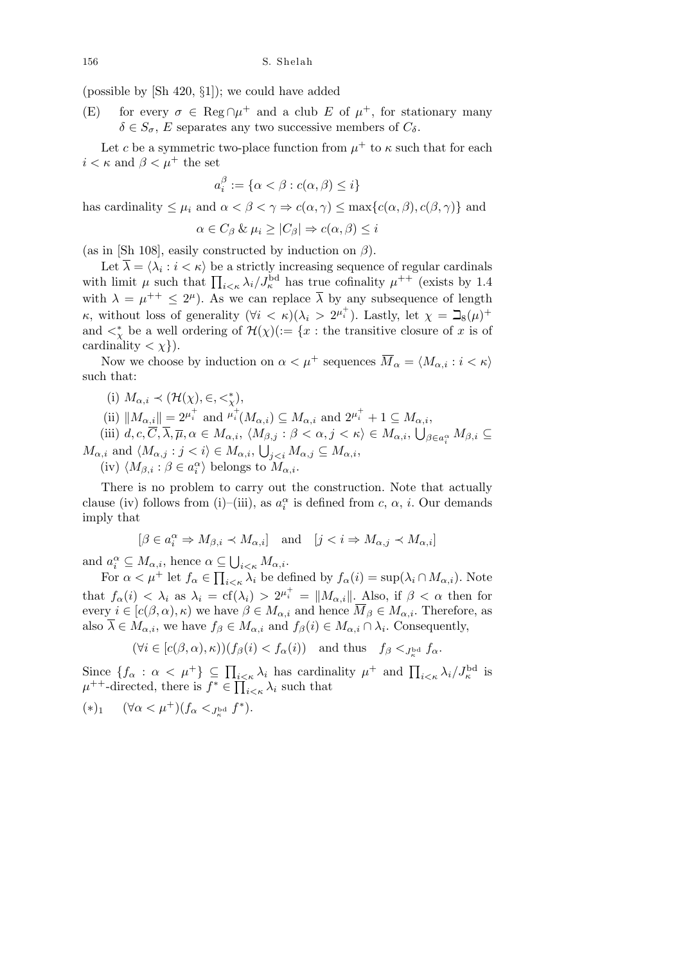(possible by [Sh 420, *§*1]); we could have added

(E) for every  $\sigma \in \text{Reg} \cap \mu^+$  and a club *E* of  $\mu^+$ , for stationary many  $\delta \in S_{\sigma}$ , *E* separates any two successive members of  $C_{\delta}$ .

Let *c* be a symmetric two-place function from  $\mu^+$  to  $\kappa$  such that for each  $i < \kappa$  and  $\beta < \mu^+$  the set

$$
a_i^\beta:=\{\alpha<\beta:c(\alpha,\beta)\leq i\}
$$

has cardinality  $\leq \mu_i$  and  $\alpha < \beta < \gamma \Rightarrow c(\alpha, \gamma) \leq \max\{c(\alpha, \beta), c(\beta, \gamma)\}\$ and

$$
\alpha \in C_{\beta} \& \mu_i \ge |C_{\beta}| \Rightarrow c(\alpha, \beta) \le i
$$

(as in [Sh 108], easily constructed by induction on *β*).

Let  $\overline{\lambda} = \langle \lambda_i : i \lt \kappa \rangle$  be a strictly increasing sequence of regular cardinals Let  $\lambda = \langle \lambda_i : i \leq k \rangle$  be a strictly increasing sequence of regular cardinals with limit  $\mu$  such that  $\prod_{i \leq \kappa} \lambda_i / J_{\kappa}^{\text{bd}}$  has true cofinality  $\mu^{++}$  (exists by 1.4 with  $\lambda = \mu^{++} \leq 2^{\mu}$ . As we can replace  $\overline{\lambda}$  by any subsequence of length *κ*, without loss of generality  $(\forall i \leq \kappa)(\lambda_i > 2^{\mu_i^+})$ . Lastly, let  $\chi = \mathbb{I}_8(\mu)^+$ and  $\lt^*_{\chi}$  be a well ordering of  $\mathcal{H}(\chi)(:=\{x : \text{the transitive closure of } x \text{ is of } \chi\})$ cardinality  $\langle \chi \rangle$ ).

Now we choose by induction on  $\alpha < \mu^+$  sequences  $\overline{M}_{\alpha} = \langle M_{\alpha,i} : i < \kappa \rangle$ such that:

(i)  $M_{\alpha,i} \prec (\mathcal{H}(\chi), \in, \lt^*_{\chi}),$ 

 $\|M_{\alpha,i}\| = 2^{\mu_i^+}$  and  $\mu_i^+(M_{\alpha,i}) \subseteq M_{\alpha,i}$  and  $2^{\mu_i^+} + 1 \subseteq M_{\alpha,i}$ ,  $\alpha$ ,

 $(iii)$   $d, c, \overline{C}, \overline{\lambda}, \overline{\mu}, \alpha \in M_{\alpha,i}, \ \langle M_{\beta,j} : \beta < \alpha, j < \kappa \rangle \in M_{\alpha,i},$ *β∈a α i Mβ,i ⊆*  $M_{\alpha,i}$  and  $\langle M_{\alpha,j} : j < i \rangle \in M_{\alpha,i}$ ,  $\frac{1}{2}$  $j < i$   $M_{\alpha,j} \subseteq M_{\alpha,i}$ ,

 $\langle \text{iv} \rangle$   $\langle M_{\beta,i} : \beta \in a_i^{\alpha} \rangle$  belongs to  $M_{\alpha,i}$ .

There is no problem to carry out the construction. Note that actually clause (iv) follows from (i)–(iii), as  $a_i^{\alpha}$  is defined from *c*,  $\alpha$ , *i*. Our demands imply that

$$
[\beta\in a_i^{\alpha}\Rightarrow M_{\beta,i}\prec M_{\alpha,i}]\quad\text{and}\quad[j
$$

and  $a_i^{\alpha} \subseteq M_{\alpha,i}$ , hence  $\alpha \subseteq$ S  $\subseteq \bigcup_{i<\kappa} M_{\alpha,i}.$ 

For  $\alpha < \mu^+$  let  $f_\alpha \in \prod_{i<\kappa} \lambda_i$  be defined by  $f_\alpha(i) = \sup(\lambda_i \cap M_{\alpha,i})$ . Note that  $f_{\alpha}(i) < \lambda_i$  as  $\lambda_i = cf(\lambda_i) > 2^{\mu_i^+} = ||M_{\alpha,i}||$ . Also, if  $\beta < \alpha$  then for every  $i \in [c(\beta, \alpha), \kappa)$  we have  $\beta \in M_{\alpha,i}$  and hence  $\overline{M}_{\beta} \in M_{\alpha,i}$ . Therefore, as also  $\overline{\lambda} \in M_{\alpha,i}$ , we have  $f_{\beta} \in M_{\alpha,i}$  and  $f_{\beta}(i) \in M_{\alpha,i} \cap \lambda_i$ . Consequently,

$$
(\forall i \in [c(\beta, \alpha), \kappa)) (f_{\beta}(i) < f_{\alpha}(i)) \quad \text{and thus} \quad f_{\beta} <_{J_{\kappa}^{\mathrm{bd}}} f_{\alpha}.
$$

Since  $\{f_\alpha : \alpha < \mu^+\}\subseteq \prod_{i<\kappa}\lambda_i$  has cardinality  $\mu^+$  and  $\prod_{i<\kappa}\lambda_i/J_\kappa^{\rm bd}$  is  $\mu^{++}$ -directed, there is  $f^* \in \prod_i$  $i \leq k$  *λ*<sup>*i*</sup> such that

$$
(*)_1 \quad (\forall \alpha < \mu^+)(f_\alpha <_{J_\kappa^{\mathrm{bd}}} f^*).
$$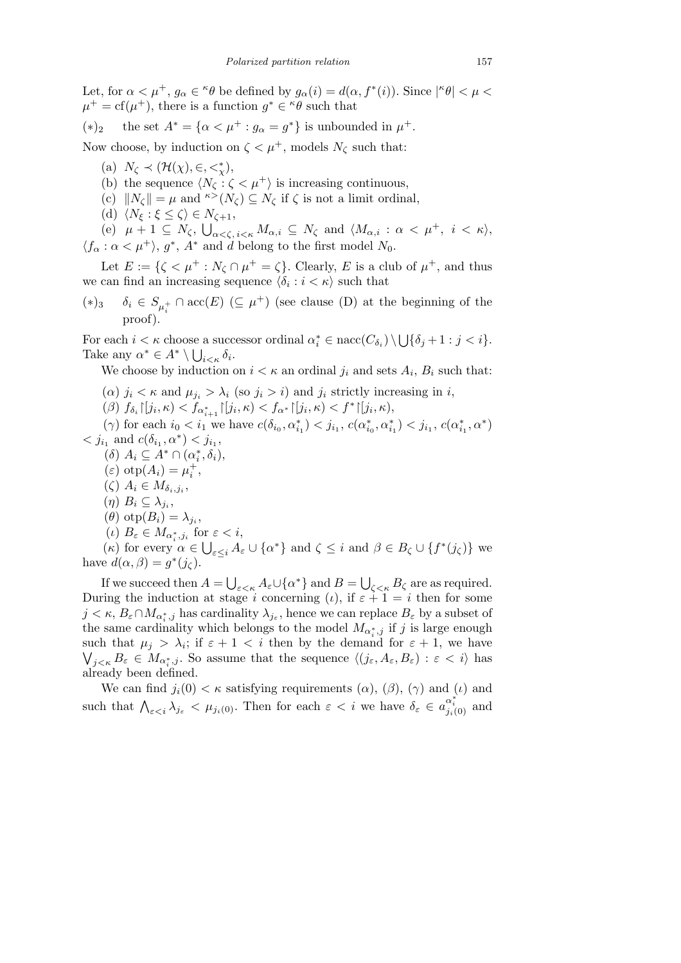Let, for  $\alpha < \mu^+$ ,  $g_\alpha \in \alpha^* \theta$  be defined by  $g_\alpha(i) = d(\alpha, f^*(i))$ . Since  $|\alpha^* \theta| < \mu <$  $\mu^+ = \text{cf}(\mu^+),$  there is a function  $g^* \in \ell^0 \theta$  such that

 $(*)_2$  the set  $A^* = {\alpha < \mu^+ : g_\alpha = g^* }$  is unbounded in  $\mu^+$ .

Now choose, by induction on  $\zeta < \mu^+$ , models  $N_\zeta$  such that:

- (a)  $N_{\zeta} \prec (\mathcal{H}(\chi), \in, \lt^*_{\chi}),$
- (b) the sequence  $\langle N_\zeta : \zeta < \mu^+ \rangle$  is increasing continuous,
- (c)  $||N_{\zeta}|| = \mu$  and  $\kappa > (N_{\zeta}) \subseteq N_{\zeta}$  if  $\zeta$  is not a limit ordinal,
- $\langle N_{\xi} : \xi \leq \zeta \rangle \in N_{\zeta+1},$

 $(e)$   $\mu + 1 \subseteq N_\zeta$ ,  $\bigcup_{\alpha<\zeta, i<\kappa} M_{\alpha,i} \subseteq N_{\zeta}$  and  $\langle M_{\alpha,i} : \alpha < \mu^+, i < \kappa \rangle$ ,  $\langle f_{\alpha} : \alpha < \mu^+ \rangle$ , *g*<sup>\*</sup>, *A*<sup>\*</sup> and *d* belong to the first model *N*<sub>0</sub>.

Let  $E := \{ \zeta < \mu^+ : N_\zeta \cap \mu^+ = \zeta \}.$  Clearly, E is a club of  $\mu^+$ , and thus we can find an increasing sequence  $\langle \delta_i : i < \kappa \rangle$  such that

(\*)<sub>3</sub>  $\delta_i \in S_{\mu_i^+} \cap \text{acc}(E)$  ( $\subseteq \mu^+$ ) (see clause (D) at the beginning of the proof)

For each  $i < \kappa$  choose a successor ordinal  $\alpha_i^* \in \text{nacc}(C_{\delta_i}) \setminus \mathcal{L}$ S  $\alpha_i^* \in \text{nacc}(C_{\delta_i}) \setminus \bigcup \{\delta_j + 1 : j < i\}.$ Take any  $\alpha^* \in A^* \setminus \bigcup_{i \leq \kappa} \delta_i$ .

We choose by induction on  $i < \kappa$  an ordinal  $j_i$  and sets  $A_i$ ,  $B_i$  such that:

- ( $\alpha$ )  $j_i < \kappa$  and  $\mu_{j_i} > \lambda_i$  (so  $j_i > i$ ) and  $j_i$  strictly increasing in *i*,
- ( $\beta$ )  $f_{\delta_i} \left[ j_i, \kappa \right) < f_{\alpha_{i+1}^*} \left[ j_i, \kappa \right) < f_{\alpha^*} \left[ j_i, \kappa \right) < f^* \left[ j_i, \kappa \right),$

 $(\gamma)$  for each  $i_0 < i_1$  we have  $c(\delta_{i_0}, \alpha_{i_1}^*) < j_{i_1}, c(\alpha_{i_0}^*, \alpha_{i_1}^*) < j_{i_1}, c(\alpha_{i_1}^*, \alpha^*)$  $\langle j_{i_1}$  and  $c(\delta_{i_1}, \alpha^*) \langle j_{i_1},$ 

- $(A)$   $A_i \subseteq A^* \cap (\alpha_i^*, \delta_i),$
- $(\varepsilon)$  otp $(A_i) = \mu_i^+,$
- $(\zeta)$   $A_i \in M_{\delta_i,j_i},$
- $(\eta)$   $B_i \subseteq \lambda_{j_i},$
- $(\theta)$  otp $(B_i) = \lambda_{j_i}$
- $(\iota)$   $B_{\varepsilon} \in M_{\alpha_i^*, j_i}$  for  $\varepsilon < i$ ,

(k) for every  $\alpha \in \bigcup_{\varepsilon \leq i} A_{\varepsilon} \cup \{\alpha^*\}$  and  $\zeta \leq i$  and  $\beta \in B_{\zeta} \cup \{f^*(j_{\zeta})\}$  we have  $d(\alpha, \beta) = g^*(j_\zeta)$ . S S

If we succeed then  $A =$ *ε<κ A*<sub>*ε*</sub>*U*{*α*<sup>\*</sup>} and *B* =  $\zeta_{\leq \kappa} B_{\zeta}$  are as required. During the induction at stage *i* concerning (*i*), if  $\varepsilon + 1 = i$  then for some  $j < \kappa$ ,  $B_{\varepsilon} \cap M_{\alpha_i^*,j}$  has cardinality  $\lambda_{j_{\varepsilon}}$ , hence we can replace  $B_{\varepsilon}$  by a subset of the same cardinality which belongs to the model  $M_{\alpha_i^*,j}$  if *j* is large enough such that  $\mu_j > \lambda_i$ ; if  $\varepsilon + 1 < i$  then by the demand for  $\varepsilon + 1$ , we have  $j < \kappa$   $B_{\varepsilon} \in M_{\alpha_i^*, j}$ . So assume that the sequence  $\langle (j_{\varepsilon}, A_{\varepsilon}, B_{\varepsilon}) : \varepsilon < i \rangle$  has already been defined.

We can find  $j_i(0) < \kappa$  satisfying requirements  $(\alpha)$ ,  $(\beta)$ ,  $(\gamma)$  and  $(\iota)$  and such that  $\bigwedge_{\varepsilon < i} \lambda_{j_{\varepsilon}} < \mu_{j_i(0)}$ . Then for each  $\varepsilon < i$  we have  $\delta_{\varepsilon} \in a_{j_i(0)}^{\alpha_i^*}$  and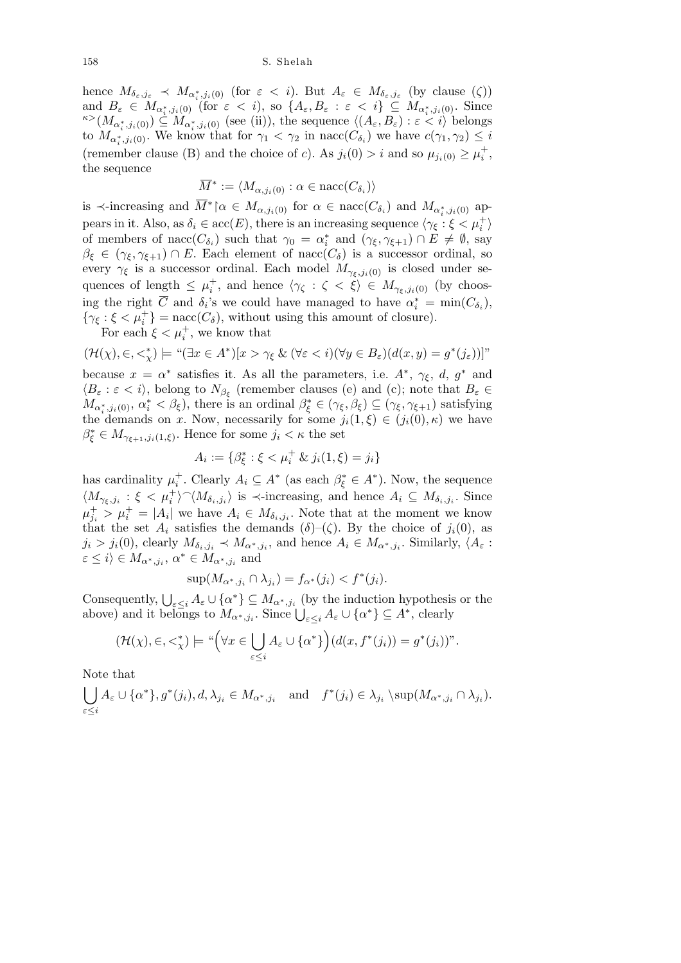hence  $M_{\delta_{\varepsilon},j_{\varepsilon}} \prec M_{\alpha_i^*,j_i(0)}$  (for  $\varepsilon < i$ ). But  $A_{\varepsilon} \in M_{\delta_{\varepsilon},j_{\varepsilon}}$  (by clause  $(\zeta)$ ) and  $B_{\varepsilon} \in M_{\alpha^*_i,j_i(0)}$  (for  $\varepsilon < i$ ), so  $\{A_{\varepsilon}, B_{\varepsilon} : \varepsilon < i\} \subseteq M_{\alpha^*_i,j_i(0)}$ . Since  $\kappa > (M_{\alpha_i^*,j_i(0)}) \subseteq M_{\alpha_i^*,j_i(0)}$  (see (ii)), the sequence  $\langle (A_\varepsilon, B_\varepsilon) : \varepsilon < i \rangle$  belongs to  $M_{\alpha_i^*, j_i(0)}$ . We know that for  $\gamma_1 < \gamma_2$  in nacc( $C_{\delta_i}$ ) we have  $c(\gamma_1, \gamma_2) \leq i$ (remember clause (B) and the choice of *c*). As  $j_i(0) > i$  and so  $\mu_{j_i(0)} \ge \mu_i^+$ , the sequence

$$
\overline{M}^* := \langle M_{\alpha,j_i(0)} : \alpha \in \text{nacc}(C_{\delta_i}) \rangle
$$

is  $\prec$ -increasing and  $\overline{M}^*$   $\upharpoonright \alpha \in M_{\alpha, j_i(0)}$  for  $\alpha \in \text{nacc}(C_{\delta_i})$  and  $M_{\alpha_i^*, j_i(0)}$  appears in it. Also, as  $\delta_i \in \operatorname{acc}(E)$ , there is an increasing sequence  $\langle \gamma_{\xi} : \xi < \mu_i^+ \rangle$ of members of nacc( $C_{\delta_i}$ ) such that  $\gamma_0 = \alpha_i^*$  and  $(\gamma_{\xi}, \gamma_{\xi+1}) \cap E \neq \emptyset$ , say  $\beta_{\xi} \in (\gamma_{\xi}, \gamma_{\xi+1}) \cap E$ . Each element of nacc( $C_{\delta}$ ) is a successor ordinal, so every  $\gamma_{\xi}$  is a successor ordinal. Each model  $M_{\gamma_{\xi},j_i(0)}$  is closed under sequences of length  $\leq \mu_i^+$ , and hence  $\langle \gamma_{\zeta} : \zeta \leq \xi \rangle \in M_{\gamma_{\xi},j_i(0)}$  (by choosing the right  $\overline{C}$  and  $\delta_i$ 's we could have managed to have  $\alpha_i^* = \min(C_{\delta_i}),$  $\{\gamma_{\xi} : \xi < \mu_i^+\}$  = nacc(*C<sub>δ</sub>*), without using this amount of closure).

For each  $\xi < \mu_i^+$ , we know that

$$
(\mathcal{H}(\chi), \in, <_{\chi}^*) \models \text{``}(\exists x \in A^*)[x > \gamma_{\xi} \& (\forall \varepsilon < i)(\forall y \in B_{\varepsilon})(d(x, y) = g^*(j_{\varepsilon}))]
$$
''

because  $x = \alpha^*$  satisfies it. As all the parameters, i.e.  $A^*$ ,  $\gamma_{\xi}$ ,  $d$ ,  $g^*$  and  $\langle B_{\varepsilon} : \varepsilon \langle i \rangle$ , belong to  $N_{\beta_{\xi}}$  (remember clauses (e) and (c); note that  $B_{\varepsilon} \in$  $M_{\alpha_i^*,j_i(0)}, \alpha_i^* < \beta_{\xi}$ , there is an ordinal  $\beta_{\xi}^* \in (\gamma_{\xi}, \beta_{\xi}) \subseteq (\gamma_{\xi}, \gamma_{\xi+1})$  satisfying the demands on *x*. Now, necessarily for some  $j_i(1,\xi) \in (j_i(0),\kappa)$  we have  $\beta_{\xi}^* \in M_{\gamma_{\xi+1},j_i(1,\xi)}$ . Hence for some  $j_i < \kappa$  the set

$$
A_i := \{ \beta_{\xi}^* : \xi < \mu_i^+ \& j_i(1, \xi) = j_i \}
$$

has cardinality  $\mu_i^+$ . Clearly  $A_i \subseteq A^*$  (as each  $\beta_{\xi}^* \in A^*$ ). Now, the sequence  $\langle M_{\gamma_{\xi},j_i}:\xi < \mu_i^+\rangle \hat{\ } \langle M_{\delta_i,j_i}\rangle$  is  $\prec$ -increasing, and hence  $A_i \subseteq M_{\delta_i,j_i}$ . Since  $\mu_{j_i}^+ > \mu_i^+ = |A_i|$  we have  $A_i \in M_{\delta_i,j_i}$ . Note that at the moment we know that the set  $A_i$  satisfies the demands  $(\delta)$ – $(\zeta)$ . By the choice of  $j_i(0)$ , as  $j_i > j_i(0)$ , clearly  $M_{\delta_i,j_i} \prec M_{\alpha^*,j_i}$ , and hence  $A_i \in M_{\alpha^*,j_i}$ . Similarly,  $\langle A_\varepsilon :$  $\varepsilon \leq i$   $\langle i \rangle \in M_{\alpha^*, j_i}, \alpha^* \in M_{\alpha^*, j_i}$  and

$$
\sup(M_{\alpha^*,j_i} \cap \lambda_{j_i}) = f_{\alpha^*}(j_i) < f^*(j_i).
$$

Consequently,  $\bigcup_{\varepsilon \leq i} A_{\varepsilon} \cup \{\alpha^*\} \subseteq M_{\alpha^*, j_i}$  (by the induction hypothesis or the consequently,  $\bigcup_{\varepsilon \leq i} A_{\varepsilon} \cup \{ \alpha \} \subseteq M_{\alpha^*, j_i}$  (by the induction hypothesis above) and it belongs to  $M_{\alpha^*, j_i}$ . Since  $\bigcup_{\varepsilon \leq i} A_{\varepsilon} \cup \{ \alpha^* \} \subseteq A^*$ , clearly

$$
(\mathcal{H}(\chi),\in,<^*_\chi) \models ``\Big(\forall x \in \bigcup_{\varepsilon \leq i} A_{\varepsilon} \cup \{\alpha^*\}\Big) (d(x,f^*(j_i)) = g^*(j_i))''.
$$

Note that<br>

$$
\bigcup_{\varepsilon \leq i} A_{\varepsilon} \cup \{\alpha^*\}, g^*(j_i), d, \lambda_{j_i} \in M_{\alpha^*, j_i} \text{ and } f^*(j_i) \in \lambda_{j_i} \setminus \sup(M_{\alpha^*, j_i} \cap \lambda_{j_i}).
$$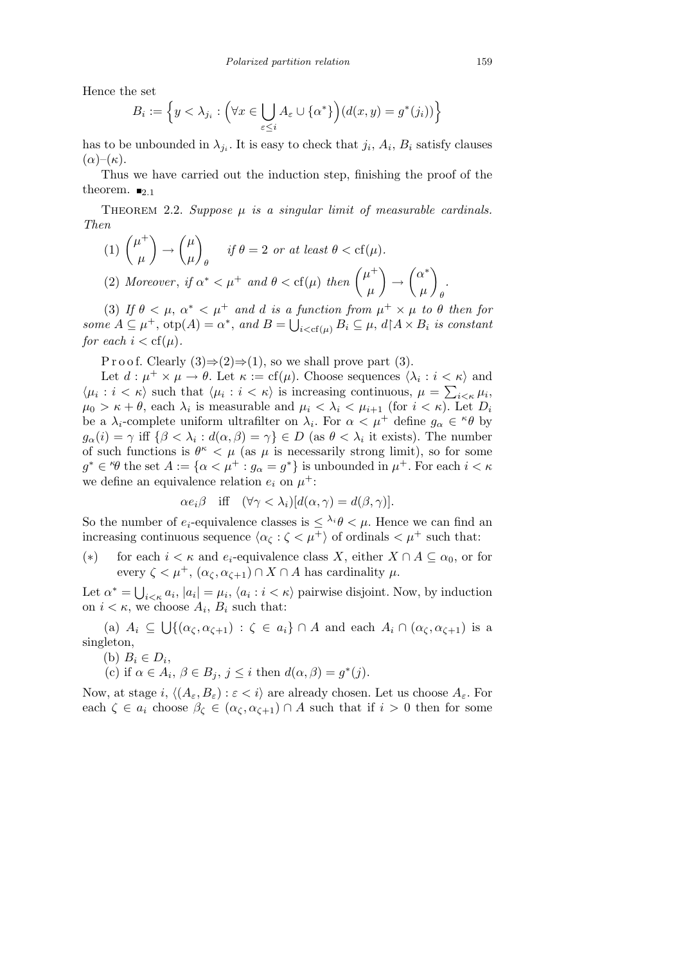Hence the set

$$
B_i := \left\{ y < \lambda_{j_i} : \left( \forall x \in \bigcup_{\varepsilon \le i} A_{\varepsilon} \cup \{ \alpha^* \} \right) (d(x, y) = g^*(j_i)) \right\}
$$

has to be unbounded in  $\lambda_{j_i}$ . It is easy to check that  $j_i$ ,  $A_i$ ,  $B_i$  satisfy clauses  $(\alpha)$ – $(\kappa)$ .

Thus we have carried out the induction step, finishing the proof of the theorem.  $\blacksquare_{2,1}$ 

THEOREM 2.2. *Suppose*  $\mu$  *is a singular limit of measurable cardinals. Then*  $\mathbf{r}$  $\mathbf{r}$ 

 $\binom{n}{1}$   $\binom{n^+}{1}$ *µ → µ µ θ*  $if \theta = 2 \text{ or at least } \theta < cf(\mu).$ (2) Moreover, if  $\alpha^* < \mu^+$  and  $\theta < \text{cf}(\mu)$  then  $\begin{pmatrix} \mu^+ & 0 \\ 0 & \mu^- \end{pmatrix}$ *µ*  $\mathbf{r}$ *→*  $\overline{\phantom{a}}$ *α ∗ µ*  $\mathbf{r}$ *θ*

(3) If  $\theta < \mu$ ,  $\alpha^* < \mu^+$  and *d* is a function from  $\mu^+ \times \mu$  to  $\theta$  then for *some*  $A \subseteq \mu^+$ ,  $\text{otp}(A) = \alpha^*$ , and  $B = \bigcup_{i < \text{cf}(\mu)} B_i \subseteq \mu$ ,  $d \upharpoonright A \times B_i$  is constant *for each*  $i < cf(\mu)$ *.* 

P r o o f. Clearly  $(3) \Rightarrow (2) \Rightarrow (1)$ , so we shall prove part  $(3)$ .

Let  $d : \mu^+ \times \mu \to \theta$ . Let  $\kappa := \text{cf}(\mu)$ . Choose sequences  $\langle \lambda_i : i \leq \kappa \rangle$  and  $\langle \mu_i : i < \kappa \rangle$  such that  $\langle \mu_i : i < \kappa \rangle$  is increasing continuous,  $\mu = \sum_{i < \kappa} \mu_i$ ,  $\mu_0 > \kappa + \theta$ , each  $\lambda_i$  is measurable and  $\mu_i < \lambda_i < \mu_{i+1}$  (for  $i < \kappa$ ). Let  $D_i$ be a  $\lambda_i$ -complete uniform ultrafilter on  $\lambda_i$ . For  $\alpha < \mu^+$  define  $g_\alpha \in \kappa \theta$  by  $g_{\alpha}(i) = \gamma$  iff  $\{\beta < \lambda_i : d(\alpha, \beta) = \gamma\} \in D$  (as  $\theta < \lambda_i$ ) it exists). The number of such functions is  $\theta^{\kappa} < \mu$  (as  $\mu$  is necessarily strong limit), so for some  $g^* \in {}^{\kappa}\theta$  the set  $A := {\alpha \lt \mu^+ : g_\alpha = g^*}$  is unbounded in  $\mu^+$ . For each  $i < \kappa$ we define an equivalence relation  $e_i$  on  $\mu^+$ :

$$
\alpha e_i \beta \quad \text{iff} \quad (\forall \gamma < \lambda_i) [d(\alpha, \gamma) = d(\beta, \gamma)].
$$

So the number of  $e_i$ -equivalence classes is  $\langle \lambda_i \theta \rangle \langle \mu \rangle$ . Hence we can find an increasing continuous sequence  $\langle \alpha_{\zeta} : \zeta \langle \mu^+ \rangle$  of ordinals  $\langle \mu^+ \rangle$  such that:

(\*) for each  $i < \kappa$  and  $e_i$ -equivalence class *X*, either  $X \cap A \subseteq \alpha_0$ , or for every  $\zeta < \mu^+$ ,  $(\alpha_{\zeta}, \alpha_{\zeta+1}) \cap X \cap A$  has cardinality  $\mu$ .

Let  $\alpha^* = \bigcup$  $i<\kappa$ ,  $|a_i| = \mu_i$ ,  $\langle a_i : i < \kappa \rangle$  pairwise disjoint. Now, by induction on  $i < \kappa$ , we choose  $A_i$ ,  $B_i$  such that: S

(a) *A<sup>i</sup> ⊆*  $\{(\alpha_{\zeta}, \alpha_{\zeta+1}) : \zeta \in a_i\} \cap A$  and each  $A_i \cap (\alpha_{\zeta}, \alpha_{\zeta+1})$  is a singleton,

(b)  $B_i \in D_i$ ,

(c) if  $\alpha \in A_i$ ,  $\beta \in B_j$ ,  $j \leq i$  then  $d(\alpha, \beta) = g^*(j)$ .

Now, at stage  $i$ ,  $\langle (A_{\varepsilon}, B_{\varepsilon}) : \varepsilon < i \rangle$  are already chosen. Let us choose  $A_{\varepsilon}$ . For each  $\zeta \in a_i$  choose  $\beta_{\zeta} \in (\alpha_{\zeta}, \alpha_{\zeta+1}) \cap A$  such that if  $i > 0$  then for some

*.*